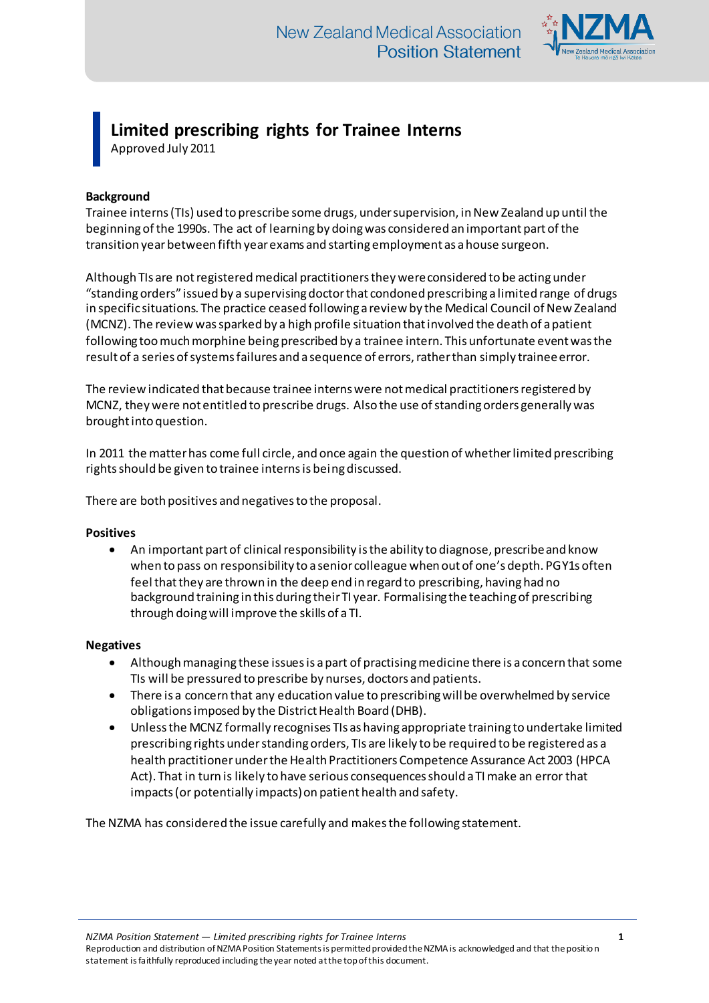

# **Limited prescribing rights for Trainee Interns**

Approved July 2011

## **Background**

Trainee interns (TIs) used to prescribe some drugs, under supervision, in New Zealand up until the beginning of the 1990s. The act of learning by doing was considered an important part of the transition year between fifth year exams and starting employment as a house surgeon.

Although TIs are not registered medical practitioners they were considered to be acting under "standing orders" issued by a supervising doctor that condoned prescribing a limited range of drugs in specific situations. The practice ceased following a review by the Medical Council of New Zealand (MCNZ). The review was sparked by a high profile situation that involved the death of a patient following too much morphine being prescribed by a trainee intern. This unfortunate event was the result of a series of systems failures and a sequence of errors, rather than simply trainee error.

The review indicated that because trainee interns were not medical practitioners registered by MCNZ, they were not entitled to prescribe drugs. Also the use of standing orders generally was brought into question.

In 2011 the matter has come full circle, and once again the question of whether limited prescribing rights should be given to trainee interns is being discussed.

There are both positives and negatives to the proposal.

#### **Positives**

 An important part of clinical responsibility is the ability to diagnose, prescribe and know when to pass on responsibility to a senior colleague when out of one's depth. PGY1s often feel that they are thrown in the deep end in regard to prescribing, having had no background training in this during their TI year. Formalising the teaching of prescribing through doing will improve the skills of a TI.

### **Negatives**

- Although managing these issues is a part of practising medicine there is a concern that some TIs will be pressured to prescribe by nurses, doctors and patients.
- There is a concern that any education value to prescribing will be overwhelmed by service obligations imposed by the District Health Board (DHB).
- Unless the MCNZ formally recognises TIs as having appropriate training to undertake limited prescribing rights under standing orders, TIs are likely to be required to be registered as a health practitioner under the Health Practitioners Competence Assurance Act 2003 (HPCA Act). That in turn is likely to have serious consequences should a TI make an error that impacts (or potentially impacts) on patient health and safety.

The NZMA has considered the issue carefully and makes the following statement.